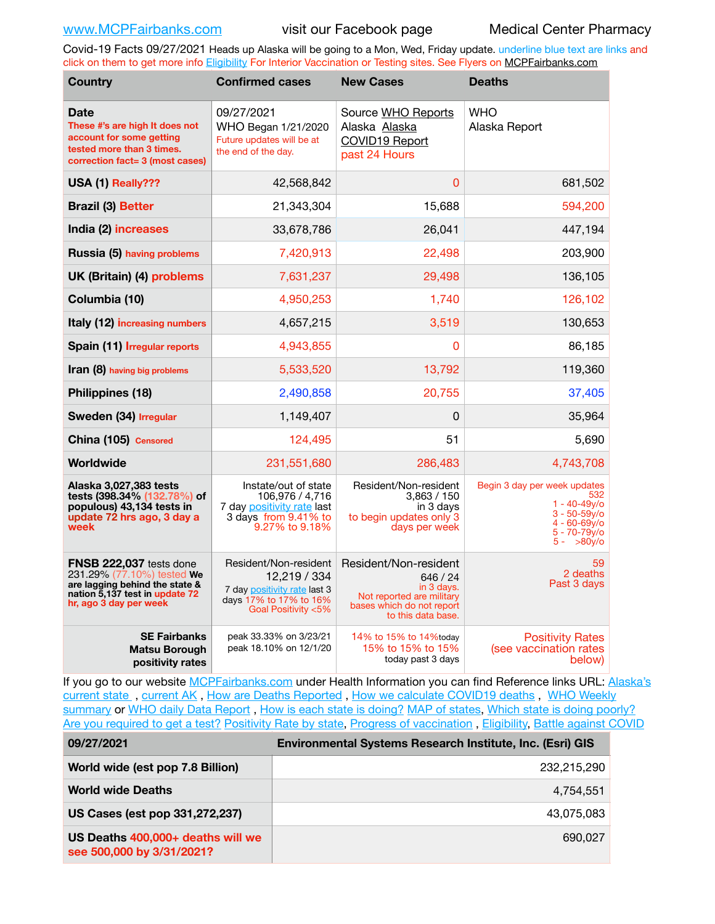Covid-19 Facts 09/27/2021 Heads up Alaska will be going to a Mon, Wed, Friday update. underline blue text are links and click on them to get more info [Eligibility](http://dhss.alaska.gov/dph/Epi/id/Pages/COVID-19/VaccineAvailability.aspx) For Interior Vaccination or Testing sites. See Flyers on [MCPFairbanks.com](http://www.MCPFairbanks.com)

| <b>Country</b>                                                                                                                                      | <b>Confirmed cases</b>                                                                                                 | <b>New Cases</b>                                                                                                                | <b>Deaths</b>                                                                                                                |
|-----------------------------------------------------------------------------------------------------------------------------------------------------|------------------------------------------------------------------------------------------------------------------------|---------------------------------------------------------------------------------------------------------------------------------|------------------------------------------------------------------------------------------------------------------------------|
| <b>Date</b><br>These #'s are high It does not<br>account for some getting<br>tested more than 3 times.<br>correction fact= 3 (most cases)           | 09/27/2021<br>WHO Began 1/21/2020<br>Future updates will be at<br>the end of the day.                                  | Source WHO Reports<br>Alaska Alaska<br>COVID19 Report<br>past 24 Hours                                                          | <b>WHO</b><br>Alaska Report                                                                                                  |
| USA (1) Really???                                                                                                                                   | 42,568,842                                                                                                             | $\Omega$                                                                                                                        | 681,502                                                                                                                      |
| <b>Brazil (3) Better</b>                                                                                                                            | 21,343,304                                                                                                             | 15,688                                                                                                                          | 594,200                                                                                                                      |
| India (2) increases                                                                                                                                 | 33,678,786                                                                                                             | 26,041                                                                                                                          | 447,194                                                                                                                      |
| Russia (5) having problems                                                                                                                          | 7,420,913                                                                                                              | 22,498                                                                                                                          | 203,900                                                                                                                      |
| UK (Britain) (4) problems                                                                                                                           | 7,631,237                                                                                                              | 29,498                                                                                                                          | 136,105                                                                                                                      |
| Columbia (10)                                                                                                                                       | 4,950,253                                                                                                              | 1,740                                                                                                                           | 126,102                                                                                                                      |
| Italy (12) increasing numbers                                                                                                                       | 4,657,215                                                                                                              | 3,519                                                                                                                           | 130,653                                                                                                                      |
| Spain (11) Irregular reports                                                                                                                        | 4,943,855                                                                                                              | 0                                                                                                                               | 86,185                                                                                                                       |
| <b>Iran (8)</b> having big problems                                                                                                                 | 5,533,520                                                                                                              | 13,792                                                                                                                          | 119,360                                                                                                                      |
| Philippines (18)                                                                                                                                    | 2,490,858                                                                                                              | 20,755                                                                                                                          | 37,405                                                                                                                       |
| Sweden (34) Irregular                                                                                                                               | 1,149,407                                                                                                              | 0                                                                                                                               | 35,964                                                                                                                       |
| China (105) Censored                                                                                                                                | 124,495                                                                                                                | 51                                                                                                                              | 5,690                                                                                                                        |
| Worldwide                                                                                                                                           | 231,551,680                                                                                                            | 286,483                                                                                                                         | 4,743,708                                                                                                                    |
| Alaska 3,027,383 tests<br>tests (398.34% (132.78%) of<br>populous) 43,134 tests in<br>update 72 hrs ago, 3 day a<br>week                            | Instate/out of state<br>106,976 / 4,716<br>7 day positivity rate last<br>3 days from 9.41% to<br>9.27% to 9.18%        | Resident/Non-resident<br>3,863 / 150<br>in 3 days<br>to begin updates only 3<br>days per week                                   | Begin 3 day per week updates<br>532<br>$1 - 40 - 49v$<br>$3 - 50 - 59v$<br>$4 - 60 - 69$ y/o<br>5 - 70-79y/o<br>$5 - 80v$ /o |
| FNSB 222,037 tests done<br>231.29% (77.10%) tested We<br>are lagging behind the state &<br>nation 5,137 test in update 72<br>hr, ago 3 day per week | Resident/Non-resident<br>12,219 / 334<br>7 day positivity rate last 3<br>days 17% to 17% to 16%<br>Goal Positivity <5% | Resident/Non-resident<br>646 / 24<br>in 3 days.<br>Not reported are military<br>bases which do not report<br>to this data base. | 59<br>2 deaths<br>Past 3 days                                                                                                |
| <b>SE Fairbanks</b><br><b>Matsu Borough</b><br>positivity rates                                                                                     | peak 33.33% on 3/23/21<br>peak 18.10% on 12/1/20                                                                       | 14% to 15% to 14% today<br>15% to 15% to 15%<br>today past 3 days                                                               | <b>Positivity Rates</b><br>(see vaccination rates<br>below)                                                                  |

If you go to our website [MCPFairbanks.com](http://www.MCPFairbanks.com) under Health Information you can find Reference links URL: Alaska's current state, current AK, [How are Deaths Reported](http://dhss.alaska.gov/dph/Epi/id/Pages/COVID-19/deathcounts.aspx), [How we calculate COVID19 deaths](https://coronavirus-response-alaska-dhss.hub.arcgis.com/search?collection=Document&groupIds=41ccb3344ebc4bd682c74073eba21f42), WHO Weekly [summary](http://www.who.int) or [WHO daily Data Report](https://covid19.who.int/table), [How is each state is doing?](https://www.msn.com/en-us/news/us/state-by-state-coronavirus-news/ar-BB13E1PX?fbclid=IwAR0_OBJH7lSyTN3ug_MsOeFnNgB1orTa9OBgilKJ7dhnwlVvHEsptuKkj1c) [MAP of states,](https://www.nationalgeographic.com/science/graphics/graphic-tracking-coronavirus-infections-us?cmpid=org=ngp::mc=crm-email::src=ngp::cmp=editorial::add=SpecialEdition_20210305&rid=B9A6DF5992658E8E35CE023113CFEA4C) [Which state is doing poorly?](https://bestlifeonline.com/covid-outbreak-your-state/?utm_source=nsltr&utm_medium=email&utm_content=covid-outbreak-your-state&utm_campaign=launch) [Are you required to get a test?](http://dhss.alaska.gov/dph/Epi/id/SiteAssets/Pages/HumanCoV/Whattodoafteryourtest.pdf) [Positivity Rate by state](https://coronavirus.jhu.edu/testing/individual-states/alaska), Progress of vaccination, [Eligibility,](http://dhss.alaska.gov/dph/Epi/id/Pages/COVID-19/VaccineAvailability.aspx) [Battle against COVID](https://www.nationalgeographic.com/science/graphics/graphic-tracking-coronavirus-infections-us?cmpid=org=ngp::mc=crm-email::src=ngp::cmp=editorial::add=SpecialEdition_20210219&rid=B9A6DF5992658E8E35CE023113CFEA4C)

| 09/27/2021                                                     | Environmental Systems Research Institute, Inc. (Esri) GIS |  |
|----------------------------------------------------------------|-----------------------------------------------------------|--|
| World wide (est pop 7.8 Billion)                               | 232,215,290                                               |  |
| <b>World wide Deaths</b>                                       | 4.754.551                                                 |  |
| US Cases (est pop 331,272,237)                                 | 43.075.083                                                |  |
| US Deaths 400,000+ deaths will we<br>see 500,000 by 3/31/2021? | 690.027                                                   |  |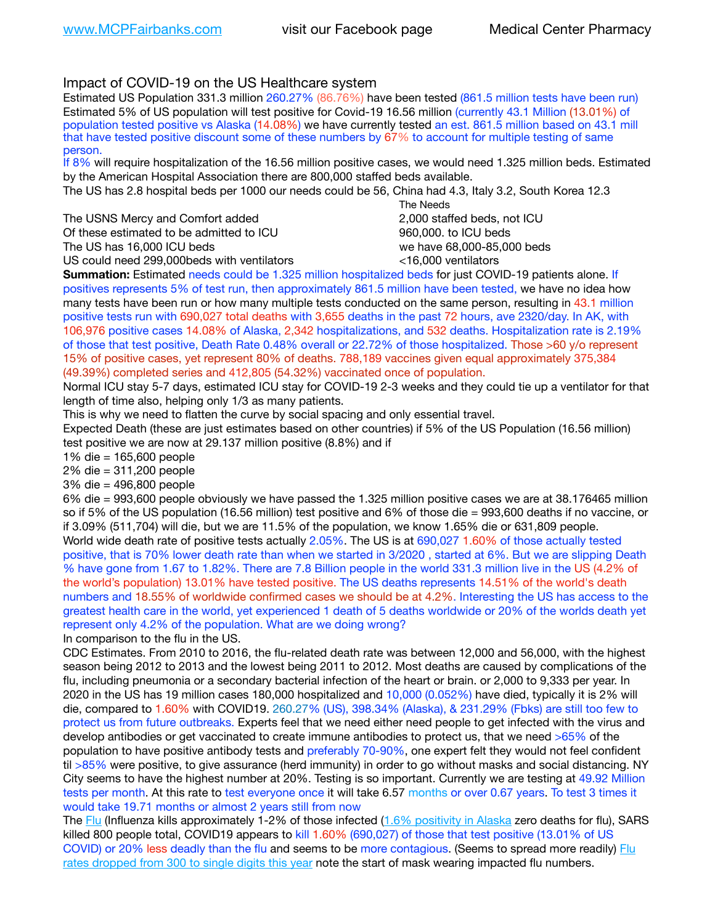# Impact of COVID-19 on the US Healthcare system

Estimated US Population 331.3 million 260.27% (86.76%) have been tested (861.5 million tests have been run) Estimated 5% of US population will test positive for Covid-19 16.56 million (currently 43.1 Million (13.01%) of population tested positive vs Alaska (14.08%) we have currently tested an est. 861.5 million based on 43.1 mill that have tested positive discount some of these numbers by 67% to account for multiple testing of same person.

If 8% will require hospitalization of the 16.56 million positive cases, we would need 1.325 million beds. Estimated by the American Hospital Association there are 800,000 staffed beds available.

The US has 2.8 hospital beds per 1000 our needs could be 56, China had 4.3, Italy 3.2, South Korea 12.3

The USNS Mercy and Comfort added 2,000 staffed beds, not ICU Of these estimated to be admitted to ICU 860,000. to ICU beds The US has 16,000 ICU beds we have 68,000-85,000 beds

 The Needs US could need 299,000 beds with ventilators  $\leq 16,000$  ventilators

**Summation:** Estimated needs could be 1.325 million hospitalized beds for just COVID-19 patients alone. If positives represents 5% of test run, then approximately 861.5 million have been tested, we have no idea how many tests have been run or how many multiple tests conducted on the same person, resulting in 43.1 million positive tests run with 690,027 total deaths with 3,655 deaths in the past 72 hours, ave 2320/day. In AK, with 106,976 positive cases 14.08% of Alaska, 2,342 hospitalizations, and 532 deaths. Hospitalization rate is 2.19% of those that test positive, Death Rate 0.48% overall or 22.72% of those hospitalized. Those >60 y/o represent 15% of positive cases, yet represent 80% of deaths. 788,189 vaccines given equal approximately 375,384 (49.39%) completed series and 412,805 (54.32%) vaccinated once of population.

Normal ICU stay 5-7 days, estimated ICU stay for COVID-19 2-3 weeks and they could tie up a ventilator for that length of time also, helping only 1/3 as many patients.

This is why we need to flatten the curve by social spacing and only essential travel.

Expected Death (these are just estimates based on other countries) if 5% of the US Population (16.56 million) test positive we are now at 29.137 million positive (8.8%) and if

1% die = 165,600 people

2% die = 311,200 people

3% die = 496,800 people

6% die = 993,600 people obviously we have passed the 1.325 million positive cases we are at 38.176465 million so if 5% of the US population (16.56 million) test positive and 6% of those die = 993,600 deaths if no vaccine, or if 3.09% (511,704) will die, but we are 11.5% of the population, we know 1.65% die or 631,809 people. World wide death rate of positive tests actually 2.05%. The US is at 690,027 1.60% of those actually tested positive, that is 70% lower death rate than when we started in 3/2020 , started at 6%. But we are slipping Death % have gone from 1.67 to 1.82%. There are 7.8 Billion people in the world 331.3 million live in the US (4.2% of the world's population) 13.01% have tested positive. The US deaths represents 14.51% of the world's death numbers and 18.55% of worldwide confirmed cases we should be at 4.2%. Interesting the US has access to the greatest health care in the world, yet experienced 1 death of 5 deaths worldwide or 20% of the worlds death yet represent only 4.2% of the population. What are we doing wrong?

In comparison to the flu in the US.

CDC Estimates. From 2010 to 2016, the flu-related death rate was between 12,000 and 56,000, with the highest season being 2012 to 2013 and the lowest being 2011 to 2012. Most deaths are caused by complications of the flu, including pneumonia or a secondary bacterial infection of the heart or brain. or 2,000 to 9,333 per year. In 2020 in the US has 19 million cases 180,000 hospitalized and 10,000 (0.052%) have died, typically it is 2% will die, compared to 1.60% with COVID19. 260.27% (US), 398.34% (Alaska), & 231.29% (Fbks) are still too few to protect us from future outbreaks. Experts feel that we need either need people to get infected with the virus and develop antibodies or get vaccinated to create immune antibodies to protect us, that we need >65% of the population to have positive antibody tests and preferably 70-90%, one expert felt they would not feel confident til >85% were positive, to give assurance (herd immunity) in order to go without masks and social distancing. NY City seems to have the highest number at 20%. Testing is so important. Currently we are testing at 49.92 Million tests per month. At this rate to test everyone once it will take 6.57 months or over 0.67 years. To test 3 times it would take 19.71 months or almost 2 years still from now

The [Flu](https://lnks.gd/l/eyJhbGciOiJIUzI1NiJ9.eyJidWxsZXRpbl9saW5rX2lkIjoxMDMsInVyaSI6ImJwMjpjbGljayIsImJ1bGxldGluX2lkIjoiMjAyMTAyMjYuMzYwNDA3NTEiLCJ1cmwiOiJodHRwczovL3d3dy5jZGMuZ292L2ZsdS93ZWVrbHkvb3ZlcnZpZXcuaHRtIn0.ePMA_hsZ-pTnhWSyg1gHvHWYTu2XceVOt0JejxvP1WE/s/500544915/br/98428119752-l) (Influenza kills approximately 1-2% of those infected ([1.6% positivity in Alaska](http://dhss.alaska.gov/dph/Epi/id/SiteAssets/Pages/influenza/trends/Snapshot.pdf) zero deaths for flu), SARS killed 800 people total, COVID19 appears to kill 1.60% (690,027) of those that test positive (13.01% of US COVID) or 20% less deadly than the flu and seems to be more contagious. (Seems to spread more readily) [Flu](https://lnks.gd/l/eyJhbGciOiJIUzI1NiJ9.eyJidWxsZXRpbl9saW5rX2lkIjoxMDEsInVyaSI6ImJwMjpjbGljayIsImJ1bGxldGluX2lkIjoiMjAyMTAyMjYuMzYwNDA3NTEiLCJ1cmwiOiJodHRwOi8vZGhzcy5hbGFza2EuZ292L2RwaC9FcGkvaWQvUGFnZXMvaW5mbHVlbnphL2ZsdWluZm8uYXNweCJ9.oOe3nt2fww6XpsNhb4FZfmtPfPa-irGaldpkURBJhSo/s/500544915/br/98428119752-l)  [rates dropped from 300 to single digits this year](https://lnks.gd/l/eyJhbGciOiJIUzI1NiJ9.eyJidWxsZXRpbl9saW5rX2lkIjoxMDEsInVyaSI6ImJwMjpjbGljayIsImJ1bGxldGluX2lkIjoiMjAyMTAyMjYuMzYwNDA3NTEiLCJ1cmwiOiJodHRwOi8vZGhzcy5hbGFza2EuZ292L2RwaC9FcGkvaWQvUGFnZXMvaW5mbHVlbnphL2ZsdWluZm8uYXNweCJ9.oOe3nt2fww6XpsNhb4FZfmtPfPa-irGaldpkURBJhSo/s/500544915/br/98428119752-l) note the start of mask wearing impacted flu numbers.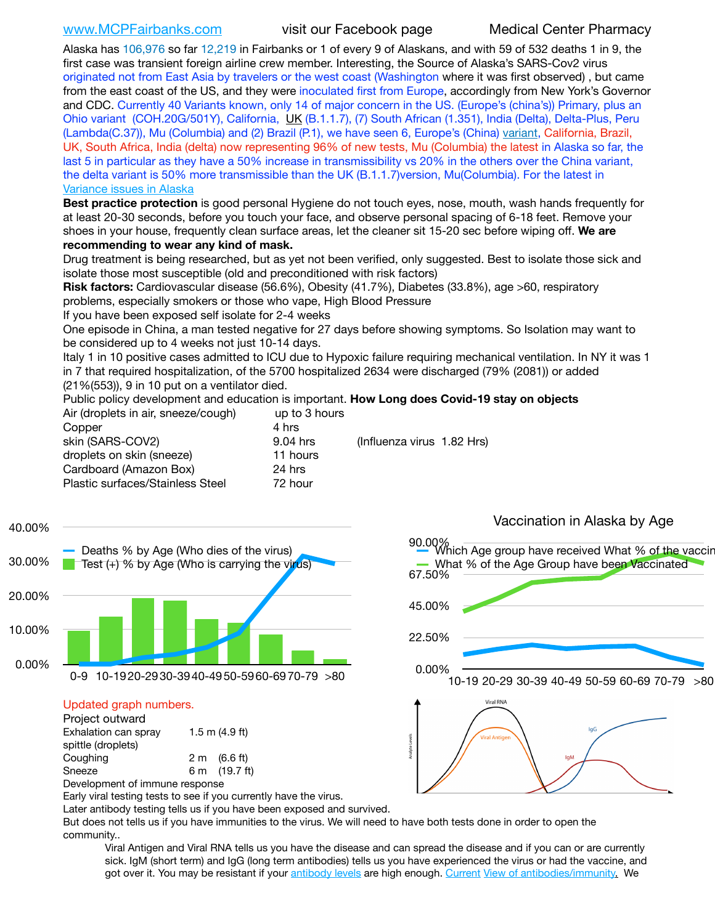[www.MCPFairbanks.com](http://www.MCPFairbanks.com) visit our Facebook page Medical Center Pharmacy

Alaska has 106,976 so far 12,219 in Fairbanks or 1 of every 9 of Alaskans, and with 59 of 532 deaths 1 in 9, the first case was transient foreign airline crew member. Interesting, the Source of Alaska's SARS-Cov2 virus originated not from East Asia by travelers or the west coast (Washington where it was first observed) , but came from the east coast of the US, and they were inoculated first from Europe, accordingly from New York's Governor and CDC. Currently 40 Variants known, only 14 of major concern in the US. (Europe's (china's)) Primary, plus an Ohio variant (COH.20G/501Y), California, [UK](https://www.cdc.gov/coronavirus/2019-ncov/transmission/variant-cases.html) (B.1.1.7), (7) South African (1.351), India (Delta), Delta-Plus, Peru (Lambda(C.37)), Mu (Columbia) and (2) Brazil (P.1), we have seen 6, Europe's (China) [variant,](https://www.webmd.com/lung/news/20210318/cdc-who-create-threat-levels-for-covid-variants?ecd=wnl_cvd_031921&ctr=wnl-cvd-031921&mb=kYbf7DsHb7YGjh/1RUkcAW0T6iorImAU1TDZh18RYs0=_Support_titleLink_2) California, Brazil, UK, South Africa, India (delta) now representing 96% of new tests, Mu (Columbia) the latest in Alaska so far, the last 5 in particular as they have a 50% increase in transmissibility vs 20% in the others over the China variant, the delta variant is 50% more transmissible than the UK (B.1.1.7)version, Mu(Columbia). For the latest in [Variance issues in Alaska](https://lnks.gd/l/eyJhbGciOiJIUzI1NiJ9.eyJidWxsZXRpbl9saW5rX2lkIjoxMDgsInVyaSI6ImJwMjpjbGljayIsImJ1bGxldGluX2lkIjoiMjAyMTA4MDUuNDQxMzM4NzEiLCJ1cmwiOiJodHRwOi8vZGhzcy5hbGFza2EuZ292L2RwaC9FcGkvaWQvc2l0ZWFzc2V0cy9wYWdlcy9odW1hbmNvdi9BS1NlcUNvbl9HZW5vbWljU2l0dWF0aW9uUmVwb3J0LnBkZiJ9.wjCZc7vYm_CIgdjPTJyJ9ehoQjtub_KeZLTKgTIA69A/s/500544915/br/110405970878-l)

**Best practice protection** is good personal Hygiene do not touch eyes, nose, mouth, wash hands frequently for at least 20-30 seconds, before you touch your face, and observe personal spacing of 6-18 feet. Remove your shoes in your house, frequently clean surface areas, let the cleaner sit 15-20 sec before wiping off. **We are recommending to wear any kind of mask.**

Drug treatment is being researched, but as yet not been verified, only suggested. Best to isolate those sick and isolate those most susceptible (old and preconditioned with risk factors)

**Risk factors:** Cardiovascular disease (56.6%), Obesity (41.7%), Diabetes (33.8%), age >60, respiratory problems, especially smokers or those who vape, High Blood Pressure

If you have been exposed self isolate for 2-4 weeks

One episode in China, a man tested negative for 27 days before showing symptoms. So Isolation may want to be considered up to 4 weeks not just 10-14 days.

Italy 1 in 10 positive cases admitted to ICU due to Hypoxic failure requiring mechanical ventilation. In NY it was 1 in 7 that required hospitalization, of the 5700 hospitalized 2634 were discharged (79% (2081)) or added (21%(553)), 9 in 10 put on a ventilator died.

Public policy development and education is important. **How Long does Covid-19 stay on objects**

| up to 3 hours |                            |
|---------------|----------------------------|
| 4 hrs         |                            |
| 9.04 hrs      | (Influenza virus 1.82 Hrs) |
| 11 hours      |                            |
| 24 hrs        |                            |
| 72 hour       |                            |
|               |                            |



## Updated graph numbers.

| Project outward                |                        |
|--------------------------------|------------------------|
| Exhalation can spray           | $1.5$ m $(4.9$ ft)     |
| spittle (droplets)             |                        |
| Coughing                       | $2 \text{ m}$ (6.6 ft) |
| Sneeze                         | 6 m (19.7 ft)          |
| Development of immune response |                        |



Later antibody testing tells us if you have been exposed and survived.

But does not tells us if you have immunities to the virus. We will need to have both tests done in order to open the community..

Viral Antigen and Viral RNA tells us you have the disease and can spread the disease and if you can or are currently sick. IgM (short term) and IgG (long term antibodies) tells us you have experienced the virus or had the vaccine, and got over it. You may be resistant if your [antibody levels](https://www.cdc.gov/coronavirus/2019-ncov/lab/resources/antibody-tests.html) are high enough. [Current](https://l.facebook.com/l.php?u=https://www.itv.com/news/2020-10-26/covid-19-antibody-levels-reduce-over-time-study-finds?fbclid=IwAR3Dapzh1qIH1EIOdUQI2y8THf7jfA4KBCaJz8Qg-8xe1YsrR4nsAHDIXSY&h=AT30nut8pkqp0heVuz5W2rT2WFFm-2Ab52BsJxZZCNlGsX58IpPkuVEPULbIUV_M16MAukx1Kwb657DPXxsgDN1rpOQ4gqBtQsmVYiWpnHPJo2RQsU6CPMd14lgLnQnFWxfVi6zvmw&__tn__=-UK-R&c%5B0%5D=AT1GaRAfR_nGAyqcn7TI1-PpvqOqEKXHnz6TDWvRStMnOSH7boQDvTiwTOc6VId9UES6LKiOmm2m88wKCoolkJyOFvakt2Z1Mw8toYWGGoWW23r0MNVBl7cYJXB_UOvGklNHaNnaNr1_S7NhT3BSykNOBg) [View of antibodies/immunity](https://www.livescience.com/antibodies.html)[.](https://www.itv.com/news/2020-10-26/covid-19-antibody-levels-reduce-over-time-study-finds) We

22.50%

45.00%

67.50%



90.00%<br>Which Age group have received What % of the vaccin

What % of the Age Group have been Vaccinated

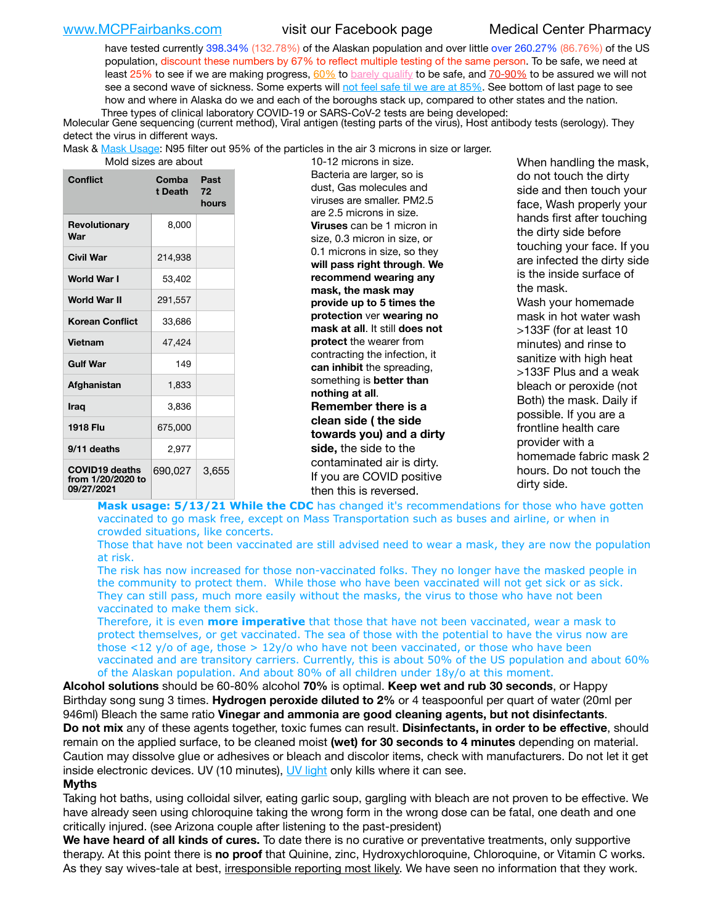[www.MCPFairbanks.com](http://www.MCPFairbanks.com) visit our Facebook page Medical Center Pharmacy

have tested currently 398.34% (132.78%) of the Alaskan population and over little over 260.27% (86.76%) of the US population, discount these numbers by 67% to reflect multiple testing of the same person. To be safe, we need at least 25% to see if we are making progress,  $60\%$  to [barely qualify](https://www.nature.com/articles/d41586-020-02948-4) to be safe, and  $70-90\%$  to be assured we will not see a second wave of sickness. Some experts will [not feel safe til we are at 85%](https://www.bannerhealth.com/healthcareblog/teach-me/what-is-herd-immunity). See bottom of last page to see how and where in Alaska do we and each of the boroughs stack up, compared to other states and the nation. Three types of clinical laboratory COVID-19 or SARS-CoV-2 tests are being developed:

 Molecular Gene sequencing (current method), Viral antigen (testing parts of the virus), Host antibody tests (serology). They detect the virus in different ways.

Mask & [Mask Usage:](https://www.nationalgeographic.com/history/2020/03/how-cities-flattened-curve-1918-spanish-flu-pandemic-coronavirus/) N95 filter out 95% of the particles in the air 3 microns in size or larger.

| Mold sizes are abou |  |  |  |
|---------------------|--|--|--|
|---------------------|--|--|--|

| Conflict                                                 | Comba<br>t Death | Past<br>72<br>hours |
|----------------------------------------------------------|------------------|---------------------|
| <b>Revolutionary</b><br>War                              | 8,000            |                     |
| Civil War                                                | 214,938          |                     |
| <b>World War I</b>                                       | 53,402           |                     |
| World War II                                             | 291,557          |                     |
| <b>Korean Conflict</b>                                   | 33,686           |                     |
| <b>Vietnam</b>                                           | 47,424           |                     |
| <b>Gulf War</b>                                          | 149              |                     |
| Afghanistan                                              | 1,833            |                     |
| <b>Iraq</b>                                              | 3,836            |                     |
| <b>1918 Flu</b>                                          | 675,000          |                     |
| 9/11 deaths                                              | 2,977            |                     |
| <b>COVID19 deaths</b><br>from 1/20/2020 to<br>09/27/2021 | 690,027          | 3,655               |

at are about 10-12 microns in size. Bacteria are larger, so is dust, Gas molecules and viruses are smaller. PM2.5 are 2.5 microns in size. **Viruses** can be 1 micron in size, 0.3 micron in size, or 0.1 microns in size, so they **will pass right through**. **We recommend wearing any mask, the mask may provide up to 5 times the protection** ver **wearing no mask at all**. It still **does not protect** the wearer from contracting the infection, it **can inhibit** the spreading, something is **better than nothing at all**. **Remember there is a clean side ( the side towards you) and a dirty side,** the side to the contaminated air is dirty. If you are COVID positive then this is reversed.

When handling the mask, do not touch the dirty side and then touch your face, Wash properly your hands first after touching the dirty side before touching your face. If you are infected the dirty side is the inside surface of the mask. Wash your homemade mask in hot water wash >133F (for at least 10 minutes) and rinse to sanitize with high heat >133F Plus and a weak bleach or peroxide (not Both) the mask. Daily if possible. If you are a frontline health care provider with a homemade fabric mask 2 hours. Do not touch the dirty side.

Mask usage: 5/13/21 While the CDC has changed it's recommendations for those who have gotten vaccinated to go mask free, except on Mass Transportation such as buses and airline, or when in crowded situations, like concerts.

Those that have not been vaccinated are still advised need to wear a mask, they are now the population at risk.

The risk has now increased for those non-vaccinated folks. They no longer have the masked people in the community to protect them. While those who have been vaccinated will not get sick or as sick. They can still pass, much more easily without the masks, the virus to those who have not been vaccinated to make them sick.

Therefore, it is even **more imperative** that those that have not been vaccinated, wear a mask to protect themselves, or get vaccinated. The sea of those with the potential to have the virus now are those <12 y/o of age, those >  $12y$ /o who have not been vaccinated, or those who have been vaccinated and are transitory carriers. Currently, this is about 50% of the US population and about 60% of the Alaskan population. And about 80% of all children under 18y/o at this moment.

**Alcohol solutions** should be 60-80% alcohol **70%** is optimal. **Keep wet and rub 30 seconds**, or Happy Birthday song sung 3 times. **Hydrogen peroxide diluted to 2%** or 4 teaspoonful per quart of water (20ml per 946ml) Bleach the same ratio **Vinegar and ammonia are good cleaning agents, but not disinfectants**. **Do not mix** any of these agents together, toxic fumes can result. **Disinfectants, in order to be effective**, should remain on the applied surface, to be cleaned moist **(wet) for 30 seconds to 4 minutes** depending on material. Caution may dissolve glue or adhesives or bleach and discolor items, check with manufacturers. Do not let it get inside electronic devices. UV (10 minutes), [UV light](http://www.docreviews.me/best-uv-boxes-2020/?fbclid=IwAR3bvFtXB48OoBBSvYvTEnKuHNPbipxM6jUo82QUSw9wckxjC7wwRZWabGw) only kills where it can see.

### **Myths**

Taking hot baths, using colloidal silver, eating garlic soup, gargling with bleach are not proven to be effective. We have already seen using chloroquine taking the wrong form in the wrong dose can be fatal, one death and one critically injured. (see Arizona couple after listening to the past-president)

**We have heard of all kinds of cures.** To date there is no curative or preventative treatments, only supportive therapy. At this point there is **no proof** that Quinine, zinc, Hydroxychloroquine, Chloroquine, or Vitamin C works. As they say wives-tale at best, irresponsible reporting most likely. We have seen no information that they work.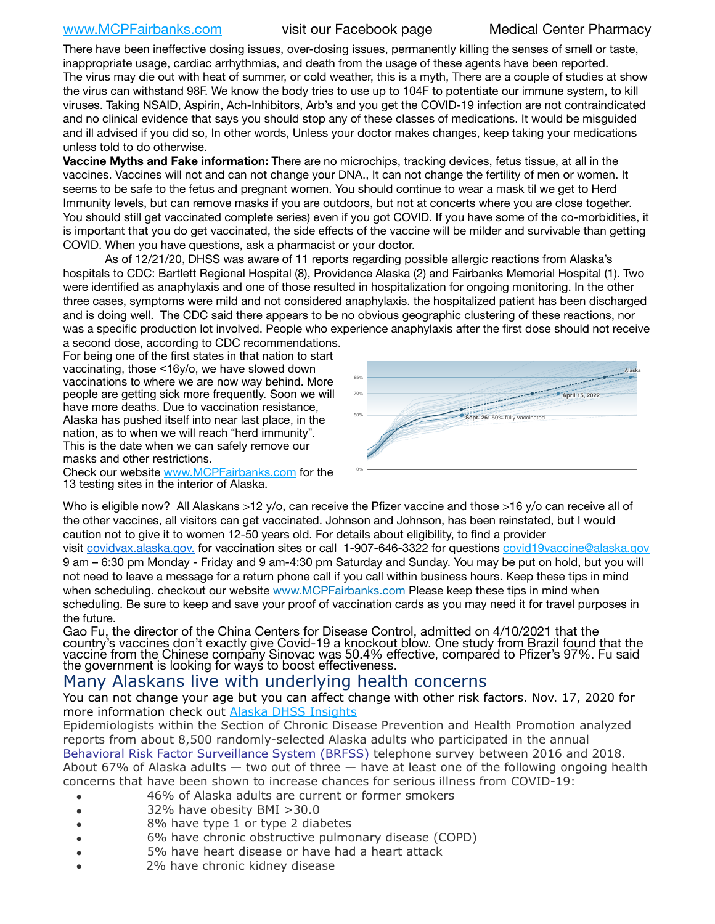There have been ineffective dosing issues, over-dosing issues, permanently killing the senses of smell or taste, inappropriate usage, cardiac arrhythmias, and death from the usage of these agents have been reported. The virus may die out with heat of summer, or cold weather, this is a myth, There are a couple of studies at show the virus can withstand 98F. We know the body tries to use up to 104F to potentiate our immune system, to kill viruses. Taking NSAID, Aspirin, Ach-Inhibitors, Arb's and you get the COVID-19 infection are not contraindicated and no clinical evidence that says you should stop any of these classes of medications. It would be misguided and ill advised if you did so, In other words, Unless your doctor makes changes, keep taking your medications unless told to do otherwise.

**Vaccine Myths and Fake information:** There are no microchips, tracking devices, fetus tissue, at all in the vaccines. Vaccines will not and can not change your DNA., It can not change the fertility of men or women. It seems to be safe to the fetus and pregnant women. You should continue to wear a mask til we get to Herd Immunity levels, but can remove masks if you are outdoors, but not at concerts where you are close together. You should still get vaccinated complete series) even if you got COVID. If you have some of the co-morbidities, it is important that you do get vaccinated, the side effects of the vaccine will be milder and survivable than getting COVID. When you have questions, ask a pharmacist or your doctor.

As of 12/21/20, DHSS was aware of 11 reports regarding possible allergic reactions from Alaska's sparas assembly hospitals to CDC: Bartlett Regional Hospital (8), Providence Alaska (2) and Fairbanks Memorial Hospital (1). Two were identified as anaphylaxis and one of those resulted in hospitalization for ongoing monitoring. In the other three cases, symptoms were mild and not considered anaphylaxis. the hospitalized patient has been discharged and is doing well. The CDC said there appears to be no obvious geographic clustering of these reactions, nor was a specific production lot involved. People who experience anaphylaxis after the first dose should not receive

a second dose, according to CDC recommendations. For being one of the first states in that nation to start vaccinating, those <16y/o, we have slowed down vaccinations to where we are now way behind. More people are getting sick more frequently. Soon we will have more deaths. Due to vaccination resistance, Alaska has pushed itself into near last place, in the nation, as to when we will reach "herd immunity". This is the date when we can safely remove our masks and other restrictions.

Check our website [www.MCPFairbanks.com](http://www.MCPFairbanks.com) for the 13 testing sites in the interior of Alaska.



United States

Who is eligible now? All Alaskans >12 y/o, can receive the Pfizer vaccine and those >16 y/o can receive all of the other vaccines, all visitors can get vaccinated. Johnson and Johnson, has been reinstated, but I would caution not to give it to women 12-50 years old. For details about eligibility, to find a provider

visit [covidvax.alaska.gov.](https://lnks.gd/l/eyJhbGciOiJIUzI1NiJ9.eyJidWxsZXRpbl9saW5rX2lkIjoxMDYsInVyaSI6ImJwMjpjbGljayIsImJ1bGxldGluX2lkIjoiMjAyMTAxMjguMzQwODU3NjEiLCJ1cmwiOiJodHRwOi8vZGhzcy5hbGFza2EuZ292L2RwaC9FcGkvaWQvUGFnZXMvQ09WSUQtMTkvdmFjY2luZS5hc3B4In0.-Xwhl42jAWOMS7ewfS85uxwrwjohCso3Sb81DuDKtxU/s/500544915/br/93796640171-l) for vaccination sites or call 1-907-646-3322 for questions [covid19vaccine@alaska.gov](mailto:covid19vaccine@alaska.gov?subject=COVID19%20Vaccine%20questions) 9 am – 6:30 pm Monday - Friday and 9 am-4:30 pm Saturday and Sunday. You may be put on hold, but you will not need to leave a message for a return phone call if you call within business hours. Keep these tips in mind when scheduling. checkout our website [www.MCPFairbanks.com](http://www.MCPFairbanks.com) Please keep these tips in mind when scheduling. Be sure to keep and save your proof of vaccination cards as you may need it for travel purposes in the future.

Gao Fu, the director of the China Centers for Disease Control, admitted on 4/10/2021 that the country's vaccines don't exactly give Covid-19 a khockout blow. One study from Brazil found that the vaccine from the Chinese company Sinovac was 50.4% effective, compared to Pfizer's 97%. Fu said the government is looking for ways to boost effectiveness.

# Many Alaskans live with underlying health concerns

You can not change your age but you can affect change with other risk factors. Nov. 17, 2020 for more information check out [Alaska DHSS Insights](http://dhss.alaska.gov/dph/Epi/id/Pages/COVID-19/blog/20201117.aspx)

Epidemiologists within the Section of Chronic Disease Prevention and Health Promotion analyzed reports from about 8,500 randomly-selected Alaska adults who participated in the annual [Behavioral Risk Factor Surveillance System \(BRFSS\)](http://dhss.alaska.gov/dph/Chronic/Pages/brfss/default.aspx) telephone survey between 2016 and 2018. About 67% of Alaska adults  $-$  two out of three  $-$  have at least one of the following ongoing health concerns that have been shown to increase chances for serious illness from COVID-19:

- 46% of Alaska adults are current or former smokers
- 32% have obesity BMI >30.0
- 8% have type 1 or type 2 diabetes
- 6% have chronic obstructive pulmonary disease (COPD)
- 5% have heart disease or have had a heart attack
- 2% have chronic kidney disease